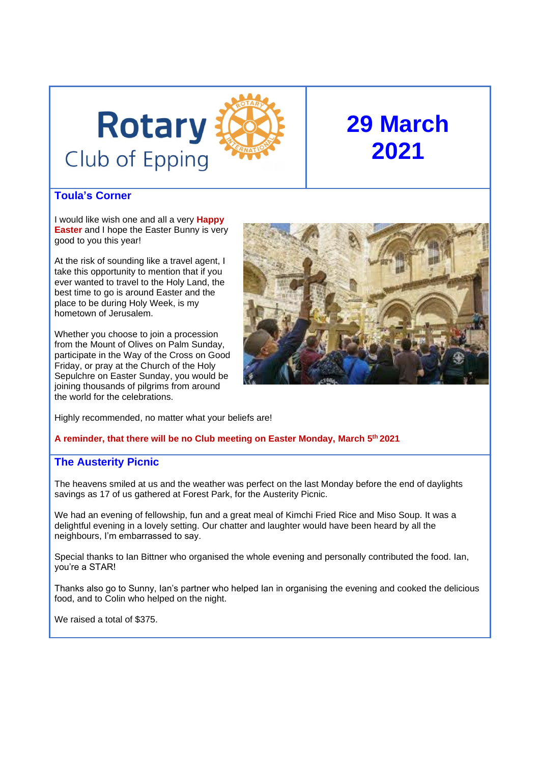# **Rotary** Club of Epping



# **29 March 2021**

# **Toula's Corner**

I would like wish one and all a very **Happy Easter** and I hope the Easter Bunny is very good to you this year!

At the risk of sounding like a travel agent, I take this opportunity to mention that if you ever wanted to travel to the Holy Land, the best time to go is around Easter and the place to be during Holy Week, is my hometown of Jerusalem.

Whether you choose to join a procession from the Mount of Olives on Palm Sunday, participate in the Way of the Cross on Good Friday, or pray at the Church of the Holy Sepulchre on Easter Sunday, you would be joining thousands of pilgrims from around the world for the celebrations.



Highly recommended, no matter what your beliefs are!

#### **A reminder, that there will be no Club meeting on Easter Monday, March 5th 2021**

# **The Austerity Picnic**

The heavens smiled at us and the weather was perfect on the last Monday before the end of daylights savings as 17 of us gathered at Forest Park, for the Austerity Picnic.

We had an evening of fellowship, fun and a great meal of Kimchi Fried Rice and Miso Soup. It was a delightful evening in a lovely setting. Our chatter and laughter would have been heard by all the neighbours, I'm embarrassed to say.

Special thanks to Ian Bittner who organised the whole evening and personally contributed the food. Ian, you're a STAR!

Thanks also go to Sunny, Ian's partner who helped Ian in organising the evening and cooked the delicious food, and to Colin who helped on the night.

We raised a total of \$375.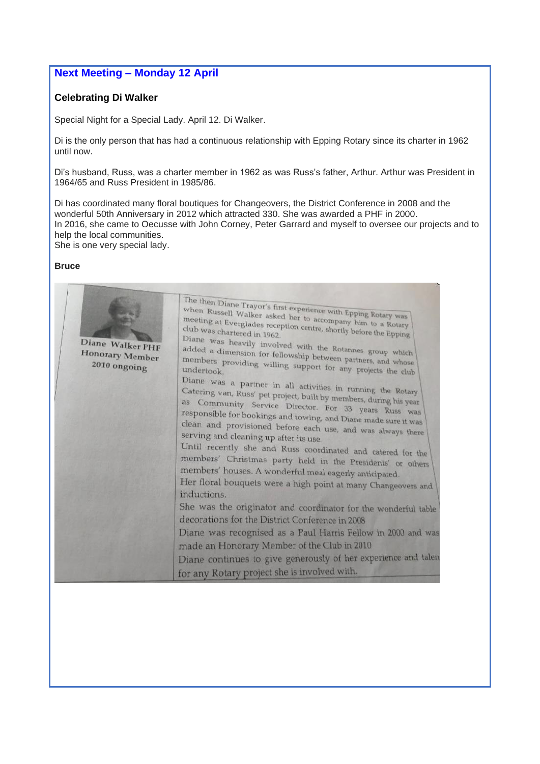# **Next Meeting – Monday 12 April**

#### **Celebrating Di Walker**

Special Night for a Special Lady. April 12. Di Walker.

Di is the only person that has had a continuous relationship with Epping Rotary since its charter in 1962 until now.

Di's husband, Russ, was a charter member in 1962 as was Russ's father, Arthur. Arthur was President in 1964/65 and Russ President in 1985/86.

Di has coordinated many floral boutiques for Changeovers, the District Conference in 2008 and the wonderful 50th Anniversary in 2012 which attracted 330. She was awarded a PHF in 2000. In 2016, she came to Oecusse with John Corney, Peter Garrard and myself to oversee our projects and to help the local communities. She is one very special lady.

#### **Bruce**

| Diane Walker PHF<br><b>Honorary Member</b><br>2010 ongoing | The then Diane Trayor's first experience with Epping Rotary was<br>when Russell Walker asked her to accompany him to a Rotary<br>meeting at Everglades reception centre, shortly before the Epping<br>Diane was heavily involved with the Rotannes group which<br>added a dimension for fellowship between partners, and whose<br>members providing willing support for any projects the club<br>Diane was a partner in all activities in running the Rotary<br>Catering van, Russ' pet project, built by members, during his year<br>as Community Service Director. For 33 years Russ was<br>responsible for bookings and towing, and Diane made sure it was<br>clean and provisioned before each use, and was always there<br>serving and cleaning up after its use.<br>Until recently she and Russ coordinated and catered for the<br>members' Christmas party held in the Presidents' or others<br>members' houses. A wonderful meal eagerly anticipated.<br>Her floral bouquets were a high point at many Changeovers and<br>inductions.<br>She was the originator and coordinator for the wonderful table<br>decorations for the District Conference in 2008<br>Diane was recognised as a Paul Harris Fellow in 2000 and was |
|------------------------------------------------------------|------------------------------------------------------------------------------------------------------------------------------------------------------------------------------------------------------------------------------------------------------------------------------------------------------------------------------------------------------------------------------------------------------------------------------------------------------------------------------------------------------------------------------------------------------------------------------------------------------------------------------------------------------------------------------------------------------------------------------------------------------------------------------------------------------------------------------------------------------------------------------------------------------------------------------------------------------------------------------------------------------------------------------------------------------------------------------------------------------------------------------------------------------------------------------------------------------------------------------------|
|                                                            | made an Honorary Member of the Club in 2010<br>Diane continues to give generously of her experience and talen<br>for any Rotary project she is involved with.                                                                                                                                                                                                                                                                                                                                                                                                                                                                                                                                                                                                                                                                                                                                                                                                                                                                                                                                                                                                                                                                      |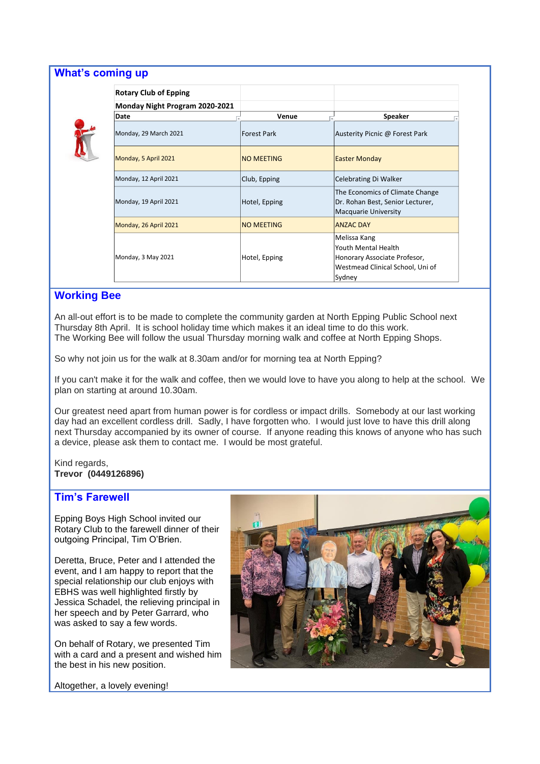| <b>Rotary Club of Epping</b>   |                   |                                                                                                                   |
|--------------------------------|-------------------|-------------------------------------------------------------------------------------------------------------------|
| Monday Night Program 2020-2021 |                   |                                                                                                                   |
| Date                           | Venue             | Speaker                                                                                                           |
| Monday, 29 March 2021          | Forest Park       | Austerity Picnic @ Forest Park                                                                                    |
| Monday, 5 April 2021           | <b>NO MEETING</b> | <b>Easter Monday</b>                                                                                              |
| Monday, 12 April 2021          | Club, Epping      | Celebrating Di Walker                                                                                             |
| Monday, 19 April 2021          | Hotel, Epping     | The Economics of Climate Change<br>Dr. Rohan Best, Senior Lecturer,<br>Macquarie University                       |
| Monday, 26 April 2021          | <b>NO MEETING</b> | <b>ANZAC DAY</b>                                                                                                  |
| Monday, 3 May 2021             | Hotel, Epping     | Melissa Kang<br>Youth Mental Health<br>Honorary Associate Profesor,<br>Westmead Clinical School, Uni of<br>Sydney |

# **Working Bee**

An all-out effort is to be made to complete the community garden at North Epping Public School next Thursday 8th April. It is school holiday time which makes it an ideal time to do this work. The Working Bee will follow the usual Thursday morning walk and coffee at North Epping Shops.

So why not join us for the walk at 8.30am and/or for morning tea at North Epping?

If you can't make it for the walk and coffee, then we would love to have you along to help at the school. We plan on starting at around 10.30am.

Our greatest need apart from human power is for cordless or impact drills. Somebody at our last working day had an excellent cordless drill. Sadly, I have forgotten who. I would just love to have this drill along next Thursday accompanied by its owner of course. If anyone reading this knows of anyone who has such a device, please ask them to contact me. I would be most grateful.

Kind regards, **Trevor (0449126896)**

#### **Tim's Farewell**

Epping Boys High School invited our Rotary Club to the farewell dinner of their outgoing Principal, Tim O'Brien.

Deretta, Bruce, Peter and I attended the event, and I am happy to report that the special relationship our club enjoys with EBHS was well highlighted firstly by Jessica Schadel, the relieving principal in her speech and by Peter Garrard, who was asked to say a few words.

On behalf of Rotary, we presented Tim with a card and a present and wished him the best in his new position.



Altogether, a lovely evening!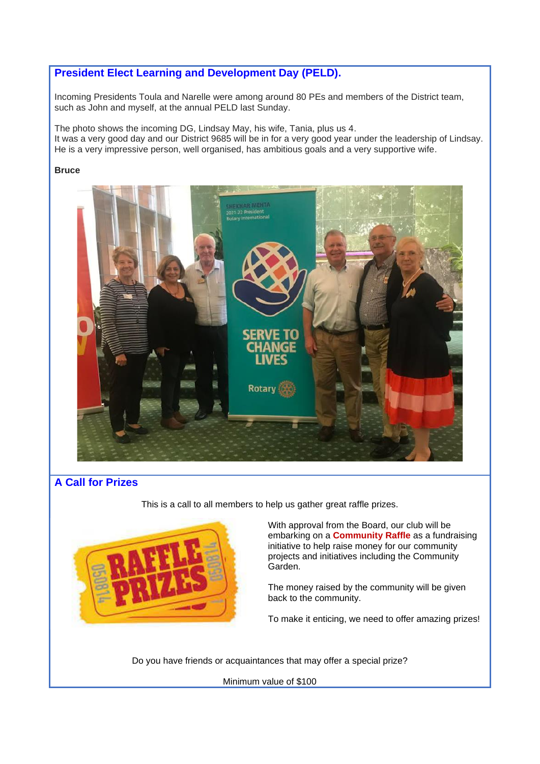# **President Elect Learning and Development Day (PELD).**

Incoming Presidents Toula and Narelle were among around 80 PEs and members of the District team, such as John and myself, at the annual PELD last Sunday.

The photo shows the incoming DG, Lindsay May, his wife, Tania, plus us 4. It was a very good day and our District 9685 will be in for a very good year under the leadership of Lindsay. He is a very impressive person, well organised, has ambitious goals and a very supportive wife.

#### **Bruce**



# **A Call for Prizes**

This is a call to all members to help us gather great raffle prizes.



With approval from the Board, our club will be embarking on a **Community Raffle** as a fundraising initiative to help raise money for our community projects and initiatives including the Community Garden.

The money raised by the community will be given back to the community.

To make it enticing, we need to offer amazing prizes!

Do you have friends or acquaintances that may offer a special prize?

Minimum value of \$100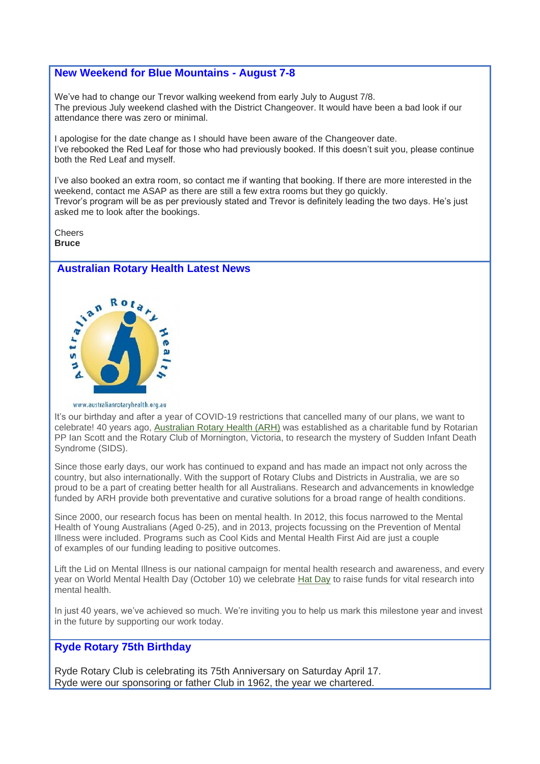#### **New Weekend for Blue Mountains - August 7-8**

We've had to change our Trevor walking weekend from early July to August 7/8. The previous July weekend clashed with the District Changeover. It would have been a bad look if our attendance there was zero or minimal.

I apologise for the date change as I should have been aware of the Changeover date. I've rebooked the Red Leaf for those who had previously booked. If this doesn't suit you, please continue both the Red Leaf and myself.

I've also booked an extra room, so contact me if wanting that booking. If there are more interested in the weekend, contact me ASAP as there are still a few extra rooms but they go quickly. Trevor's program will be as per previously stated and Trevor is definitely leading the two days. He's just asked me to look after the bookings.

**Cheers Bruce**

# **Australian Rotary Health Latest News**



www.australianrotaryhealth.org.au

It's our birthday and after a year of COVID-19 restrictions that cancelled many of our plans, we want to celebrate! 40 years ago, [Australian Rotary Health \(ARH\)](https://australianrotaryhealth.us7.list-manage.com/track/click?u=72f147cc544a797b69e87713d&id=835a83da26&e=2521d47d28) was established as a charitable fund by Rotarian PP Ian Scott and the Rotary Club of Mornington, Victoria, to research the mystery of Sudden Infant Death Syndrome (SIDS).

Since those early days, our work has continued to expand and has made an impact not only across the country, but also internationally. With the support of Rotary Clubs and Districts in Australia, we are so proud to be a part of creating better health for all Australians. Research and advancements in knowledge funded by ARH provide both preventative and curative solutions for a broad range of health conditions.

Since 2000, our research focus has been on mental health. In 2012, this focus narrowed to the Mental Health of Young Australians (Aged 0-25), and in 2013, projects focussing on the Prevention of Mental Illness were included. Programs such as Cool Kids and Mental Health First Aid are just a couple of examples of our funding leading to positive outcomes.

Lift the Lid on Mental Illness is our national campaign for mental health research and awareness, and every year on World Mental Health Day (October 10) we celebrate [Hat Day](https://australianrotaryhealth.us7.list-manage.com/track/click?u=72f147cc544a797b69e87713d&id=abb8dd5f7d&e=2521d47d28) to raise funds for vital research into mental health.

In just 40 years, we've achieved so much. We're inviting you to help us mark this milestone year and invest in the future by supporting our work today.

# **Ryde Rotary 75th Birthday**

Ryde Rotary Club is celebrating its 75th Anniversary on Saturday April 17. Ryde were our sponsoring or father Club in 1962, the year we chartered.